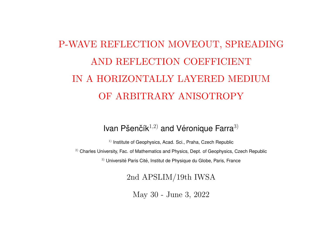# P-WAVE REFLECTION MOVEOUT, SPREADING AND REFLECTION COEFFICIENT IN A HORIZONTALLY LAYERED MEDIUM OF ARBITRARY ANISOTROPY

#### Ivan Pšenčík<sup>1,2)</sup> and Véronique Farra<sup>3)</sup>

<sup>1)</sup> Institute of Geophysics, Acad. Sci., Praha, Czech Republic

<sup>2)</sup> Charles University, Fac. of Mathematics and Physics, Dept. of Geophysics, Czech Republic

<sup>3)</sup> Université Paris Cité, Institut de Physique du Globe, Paris, France

2nd APSLIM/19th IWSA

May 30 - June 3, 2022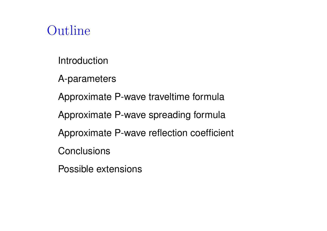# Outline

**Introduction** 

A-parameters

Approximate P-wave traveltime formula

Approximate P-wave spreading formula

Approximate P-wave reflection coefficient

**Conclusions** 

Possible extensions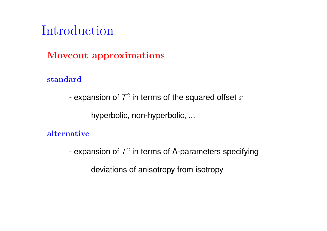## Introduction

**Moveout approximations**

**standard**

- expansion of  $T^2$  in terms of the squared offset  $x$ 

hyperbolic, non-hyperbolic, ...

**alternative**

- expansion of  $T^2$  in terms of A-parameters specifying

deviations of anisotropy from isotropy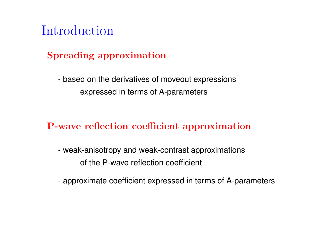### Introduction

**Spreading approximation**

- based on the derivatives of moveout expressions expressed in terms of A-parameters

**P-wave reflection coefficient approximation**

- weak-anisotropy and weak-contrast approximations of the P-wave reflection coefficient
- approximate coefficient expressed in terms of A-parameters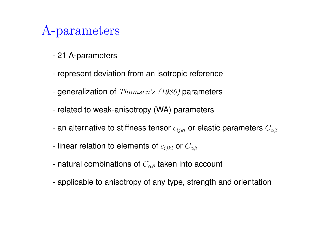- 21 A-parameters
- represent deviation from an isotropic reference
- generalization of *Thomsen's (1986)* parameters
- related to weak-anisotropy (WA) parameters
- an alternative to stiffness tensor *cijkl* or elastic parameters *Cαβ*
- linear relation to elements of *cijkl* or *Cαβ*
- natural combinations of *Cαβ* taken into account
- applicable to anisotropy of any type, strength and orientation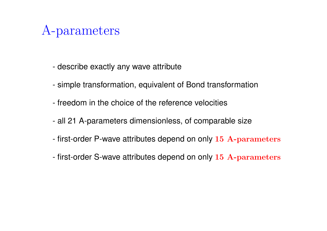- describe exactly any wave attribute
- simple transformation, equivalent of Bond transformation
- freedom in the choice of the reference velocities
- all 21 A-parameters dimensionless, of comparable size
- first-order P-wave attributes depend on only **15 A-parameters**
- first-order S-wave attributes depend on only **15 A-parameters**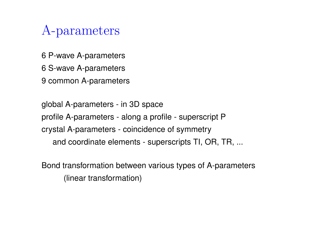- 6 P-wave A-parameters
- 6 S-wave A-parameters
- 9 common A-parameters

global A-parameters - in 3D space profile A-parameters - along a profile - superscript P crystal A-parameters - coincidence of symmetry and coordinate elements - superscripts TI, OR, TR, ...

Bond transformation between various types of A-parameters (linear transformation)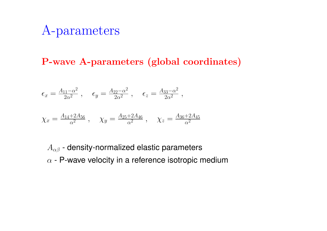#### **P-wave A-parameters (global coordinates)**

$$
\epsilon_x = \frac{A_{11} - \alpha^2}{2\alpha^2}, \quad \epsilon_y = \frac{A_{22} - \alpha^2}{2\alpha^2}, \quad \epsilon_z = \frac{A_{33} - \alpha^2}{2\alpha^2},
$$

$$
\chi_x = \frac{A_{14} + 2A_{56}}{\alpha^2}
$$
,  $\chi_y = \frac{A_{25} + 2A_{46}}{\alpha^2}$ ,  $\chi_z = \frac{A_{36} + 2A_{45}}{\alpha^2}$ 

*Aαβ* - density-normalized elastic parameters *α* - P-wave velocity in a reference isotropic medium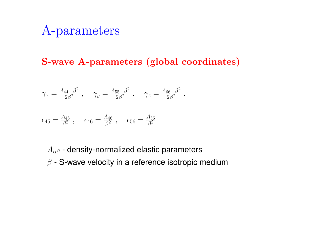#### **S-wave A-parameters (global coordinates)**

$$
\gamma_x = \frac{A_{44} - \beta^2}{2\beta^2} \ , \quad \gamma_y = \frac{A_{55} - \beta^2}{2\beta^2} \ , \quad \gamma_z = \frac{A_{66} - \beta^2}{2\beta^2} \ ,
$$

$$
\epsilon_{45} = \tfrac{A_{45}}{\beta^2} \ , \quad \epsilon_{46} = \tfrac{A_{46}}{\beta^2} \ , \quad \epsilon_{56} = \tfrac{A_{56}}{\beta^2}
$$

*Aαβ* - density-normalized elastic parameters *β* - S-wave velocity in a reference isotropic medium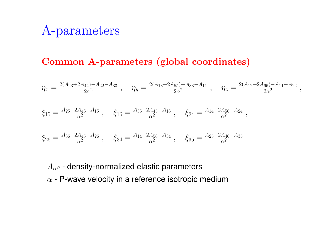#### **Common A-parameters (global coordinates)**

$$
\eta_x = \frac{2(A_{23} + 2A_{44}) - A_{22} - A_{33}}{2\alpha^2} , \quad \eta_y = \frac{2(A_{13} + 2A_{55}) - A_{33} - A_{11}}{2\alpha^2} , \quad \eta_z = \frac{2(A_{12} + 2A_{66}) - A_{11} - A_{22}}{2\alpha^2} ,
$$

$$
\xi_{15} = \frac{A_{25} + 2A_{46} - A_{15}}{\alpha^2} ,\n\quad\n\xi_{16} = \frac{A_{36} + 2A_{45} - A_{16}}{\alpha^2} ,\n\quad\n\xi_{24} = \frac{A_{14} + 2A_{56} - A_{24}}{\alpha^2} ,
$$

$$
\xi_{26} = \frac{A_{36} + 2A_{45} - A_{26}}{\alpha^2} ,\n\quad\n\xi_{34} = \frac{A_{14} + 2A_{56} - A_{34}}{\alpha^2} ,\n\quad\n\xi_{35} = \frac{A_{25} + 2A_{46} - A_{35}}{\alpha^2}
$$

*Aαβ* - density-normalized elastic parameters *α* - P-wave velocity in a reference isotropic medium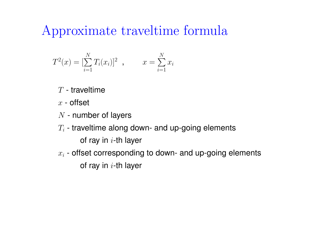$$
T^{2}(x) = \left[\sum_{i=1}^{N} T_{i}(x_{i})\right]^{2} , \qquad x = \sum_{i=1}^{N} x_{i}
$$

- *T* traveltime
- *x* offset
- *N* number of layers
- *T<sup>i</sup>* traveltime along down- and up-going elements
	- of ray in *i*-th layer
- *x<sup>i</sup>* offset corresponding to down- and up-going elements of ray in *i*-th layer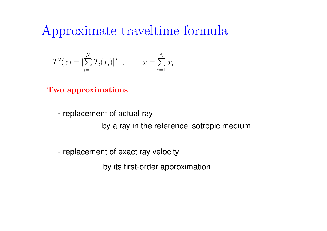$$
T^{2}(x) = \left[\sum_{i=1}^{N} T_{i}(x_{i})\right]^{2}, \qquad x = \sum_{i=1}^{N} x_{i}
$$

**Two approximations**

- replacement of actual ray

by a ray in the reference isotropic medium

- replacement of exact ray velocity

by its first-order approximation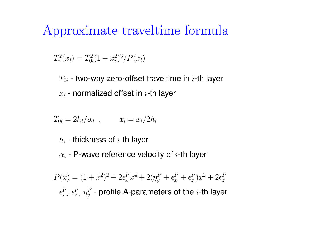$T^2_i$  $T_i^2(\bar{x}_i) = T_{0i}^2$  $\bar{v}_{0i}^2(1+\bar{x}_i^2)$  $\binom{2}{i}$ <sup>3</sup>/*P*( $\bar{x}_i$ )

 $T_{0i}$  - two-way zero-offset traveltime in *i*-th layer  $\bar{x}_i$  - normalized offset in *i*-th layer

$$
T_{0i} = 2h_i/\alpha_i \quad , \qquad \bar{x}_i = x_i/2h_i
$$

*h<sup>i</sup>* - thickness of *i*-th layer

*α<sup>i</sup>* - P-wave reference velocity of *i*-th layer

$$
P(\bar{x}) = (1 + \bar{x}^2)^2 + 2\epsilon_x^P \bar{x}^4 + 2(\eta_y^P + \epsilon_x^P + \epsilon_z^P)\bar{x}^2 + 2\epsilon_z^P
$$
  

$$
\epsilon_x^P, \epsilon_z^P, \eta_y^P \text{ - profile A-parameters of the } i\text{-th layer}
$$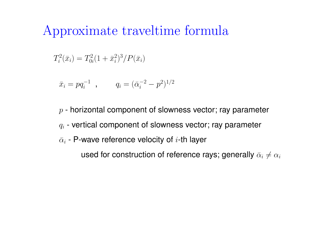$T^2_i$  $T_i^2(\bar{x}_i) = T_{0i}^2$  $\bar{v}_{0i}^2(1+\bar{x}_i^2)$  $\binom{2}{i}$ <sup>3</sup>/*P*( $\bar{x}_i$ )

$$
\bar{x}_i = pq_i^{-1}
$$
,  $q_i = (\bar{\alpha}_i^{-2} - p^2)^{1/2}$ 

*p* - horizontal component of slowness vector; ray parameter *q<sup>i</sup>* - vertical component of slowness vector; ray parameter  $\bar{\alpha}_i$  - P-wave reference velocity of *i*-th layer used for construction of reference rays; generally  $\bar{\alpha}_i \neq \alpha_i$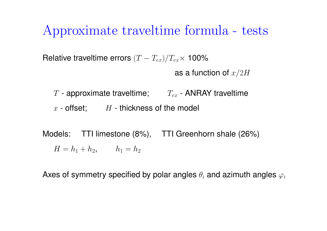Relative traveltime errors  $(T - T_{ex})/T_{ex} \times 100\%$ 

as a function of *x/*2*H*

- *T* approximate traveltime; *Tex* ANRAY traveltime
- $x$  offset;  $H$  thickness of the model

Models: TTI limestone (8%), TTI Greenhorn shale (26%)  $H = h_1 + h_2, \quad h_1 = h_2$ 

Axes of symmetry specified by polar angles  $\theta_i$  and azimuth angles  $\varphi_i$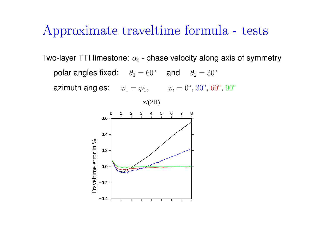Two-layer TTI limestone:  $\bar{\alpha}_i$  - phase velocity along axis of symmetry polar angles fixed:  $\theta_1 = 60^\circ$  and  $\theta_2 = 30^\circ$ azimuth angles:  $\varphi_1 = \varphi_2, \qquad \varphi_i = 0^\circ, 30^\circ, 60^\circ, 90^\circ$ 

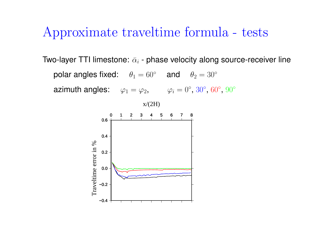Two-layer TTI limestone:  $\bar{\alpha}_i$  - phase velocity along source-receiver line

polar angles fixed:  $\theta_1 = 60^\circ$  and  $\theta_2 = 30^\circ$ 

azimuth angles:  $\varphi_1 = \varphi_2, \qquad \varphi_i = 0^\circ, 30^\circ, 60^\circ, 90^\circ$ 

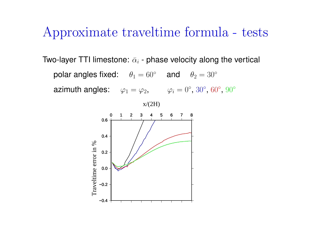Two-layer TTI limestone:  $\bar{\alpha}_i$  - phase velocity along the vertical

polar angles fixed:  $\theta_1 = 60^\circ$  and  $\theta_2 = 30^\circ$ 

azimuth angles:  $\varphi_1 = \varphi_2, \qquad \varphi_i = 0^\circ, 30^\circ, 60^\circ, 90^\circ$ 

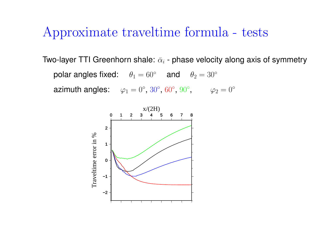Two-layer TTI Greenhorn shale:  $\bar{\alpha}_i$  - phase velocity along axis of symmetry polar angles fixed:  $\theta_1 = 60^\circ$  and  $\theta_2 = 30^\circ$  $\varphi_1 = 0^\circ, 30^\circ, 60^\circ, 90^\circ,$  $\varphi_2 = 0^\circ$ 

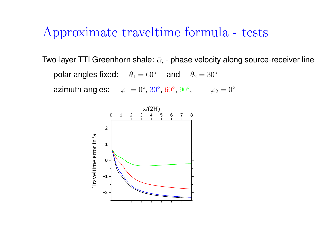Two-layer TTI Greenhorn shale:  $\bar{\alpha}_i$  - phase velocity along source-receiver line

polar angles fixed:  $\theta_1 = 60^\circ$  and  $\theta_2 = 30^\circ$ 

 $\varphi_1 = 0^\circ, 30^\circ, 60^\circ, 90^\circ,$  $\varphi_2 = 0^\circ$ 

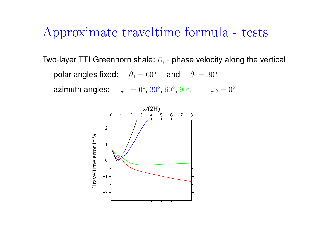Two-layer TTI Greenhorn shale:  $\bar{\alpha}_i$  - phase velocity along the vertical polar angles fixed:  $\theta_1 = 60^\circ$  and  $\theta_2 = 30^\circ$  $\varphi_1 = 0^\circ, 30^\circ, 60^\circ, 90^\circ,$  $\varphi_2 = 0^\circ$ 

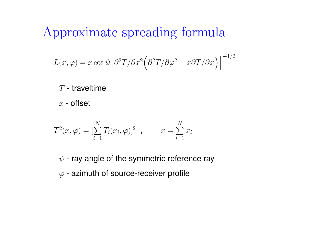## Approximate spreading formula

$$
L(x,\varphi) = x \cos \psi \left[ \frac{\partial^2 T}{\partial x^2} \left( \frac{\partial^2 T}{\partial \varphi^2} + x \frac{\partial T}{\partial x} \right) \right]^{-1/2}
$$

*T* - traveltime

*x* - offset

$$
T^{2}(x, \varphi) = [\sum_{i=1}^{N} T_{i}(x_{i}, \varphi)]^{2} , \qquad x = \sum_{i=1}^{N} x_{i}
$$

*ψ* - ray angle of the symmetric reference ray *φ* - azimuth of source-receiver profile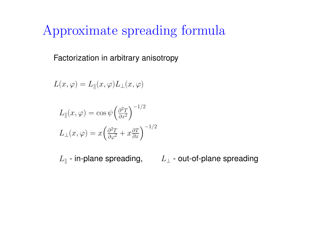# Approximate spreading formula

Factorization in arbitrary anisotropy

 $L(x, \varphi) = L_{\parallel}(x, \varphi)L_{\perp}(x, \varphi)$ 

$$
L_{\parallel}(x,\varphi) = \cos\psi \left(\frac{\partial^2 T}{\partial x^2}\right)^{-1/2}
$$

$$
L_{\perp}(x,\varphi) = x \left(\frac{\partial^2 T}{\partial \varphi^2} + x \frac{\partial T}{\partial x}\right)^{-1/2}
$$

*L∥* - in-plane spreading, *L<sup>⊥</sup>* - out-of-plane spreading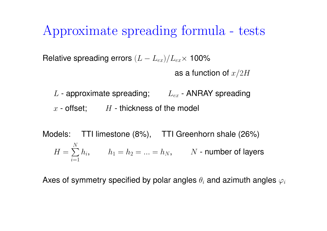Relative spreading errors  $(L - L_{ex})/L_{ex} \times$  100%

as a function of *x/*2*H*

*L* - approximate spreading; *Lex* - ANRAY spreading  $x$  - offset;  $H$  - thickness of the model

Models: TTI limestone (8%), TTI Greenhorn shale (26%)  $H = \sum$ *N i*=1  $h_i, \qquad h_1 = h_2 = ... = h_N, \qquad N$  - number of layers

Axes of symmetry specified by polar angles *θ<sup>i</sup>* and azimuth angles *φ<sup>i</sup>*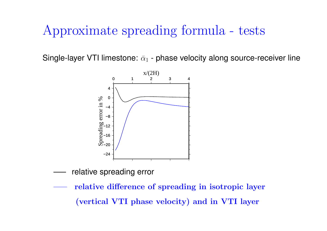Single-layer VTI limestone:  $\bar{\alpha}_1$  - phase velocity along source-receiver line



relative spreading error

relative difference of spreading in isotropic layer **(vertical VTI phase velocity) and in VTI layer**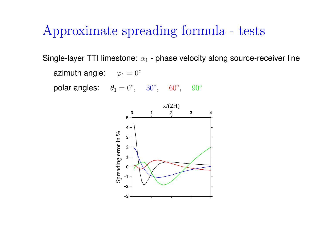Single-layer TTI limestone:  $\bar{\alpha}_1$  - phase velocity along source-receiver line

azimuth angle:  $\varphi_1 = 0^\circ$ 

polar angles:  $\theta_1 = 0^\circ$ ,  $30^\circ$ ,  $60^\circ$ ,  $90^\circ$ 

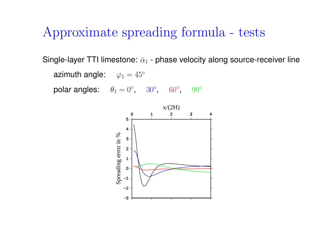Single-layer TTI limestone:  $\bar{\alpha}_1$  - phase velocity along source-receiver line

azimuth angle:  $\varphi_1 = 45^\circ$ 

polar angles:  $\theta_1 = 0^\circ$ ,  $30^\circ$ ,  $60^\circ$ ,  $90^\circ$ 

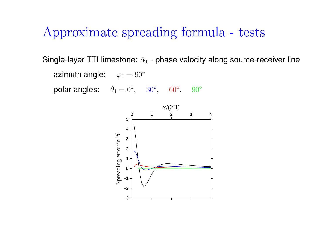Single-layer TTI limestone:  $\bar{\alpha}_1$  - phase velocity along source-receiver line

azimuth angle:  $\varphi_1 = 90^\circ$ 

polar angles:  $\theta_1 = 0^\circ$ ,  $30^\circ$ ,  $60^\circ$ ,  $90^\circ$ 

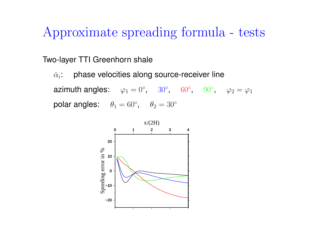Two-layer TTI Greenhorn shale

 $\bar{\alpha}_i$ : phase velocities along source-receiver line azimuth angles:  $\varphi_1 = 0^\circ$ ,  $30^\circ$ ,  $60^\circ$ ,  $90^\circ$ ,  $\varphi_2 = \varphi_1$  $p$ olar angles:  $\theta_1 = 60^\circ$ ,  $\theta_2 = 30^\circ$ 

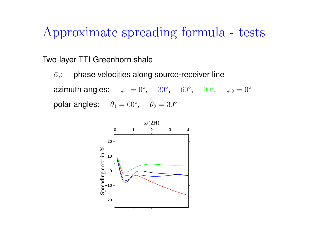Two-layer TTI Greenhorn shale

 $\bar{\alpha}_i$ : phase velocities along source-receiver line azimuth angles:  $\varphi_1 = 0^\circ$ ,  $30^\circ$ ,  $60^\circ$ ,  $90^\circ$ ,  $\varphi_2 = 0^\circ$  $p$ olar angles:  $\theta_1 = 60^\circ$ ,  $\theta_2 = 30^\circ$ 

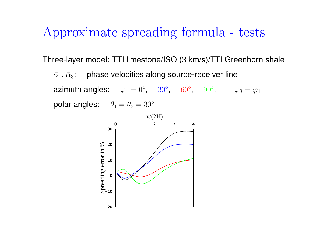Three-layer model: TTI limestone/ISO (3 km/s)/TTI Greenhorn shale

 $\bar{\alpha}_1$ ,  $\bar{\alpha}_3$ : phase velocities along source-receiver line azimuth angles:  $\varphi_1 = 0^\circ$ ,  $30^\circ$ ,  $60^\circ$ ,  $90^\circ$ ,  $\varphi_3 = \varphi_1$ polar angles:  $\theta_1 = \theta_3 = 30^\circ$ 

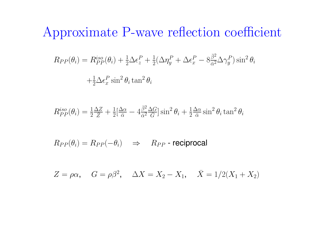$$
R_{PP}(\theta_i) = R_{PP}^{iso}(\theta_i) + \frac{1}{2}\Delta\epsilon_z^P + \frac{1}{2}(\Delta\eta_y^P + \Delta\epsilon_x^P - 8\frac{\bar{\beta}^2}{\bar{\alpha}^2}\Delta\gamma_y^P)\sin^2\theta_i
$$

$$
+ \frac{1}{2}\Delta\epsilon_x^P\sin^2\theta_i\tan^2\theta_i
$$

$$
R_{PP}^{iso}(\theta_i) = \frac{1}{2}\frac{\Delta Z}{\bar{Z}} + \frac{1}{2}\left[\frac{\Delta \alpha}{\bar{\alpha}} - 4\frac{\bar{\beta}^2}{\bar{\alpha}^2}\frac{\Delta G}{\bar{G}}\right]\sin^2\theta_i + \frac{1}{2}\frac{\Delta \alpha}{\bar{\alpha}}\sin^2\theta_i\tan^2\theta_i
$$

 $R_{PP}(\theta_i) = R_{PP}(-\theta_i) \Rightarrow R_{PP}$  - reciprocal

$$
Z = \rho \alpha
$$
,  $G = \rho \beta^2$ ,  $\Delta X = X_2 - X_1$ ,  $\bar{X} = 1/2(X_1 + X_2)$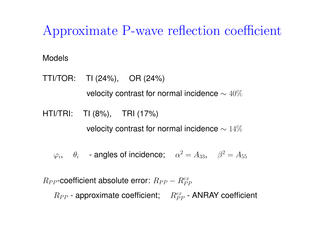#### Models

TTI/TOR: TI (24%), OR (24%)

velocity contrast for normal incidence *∼* 40%

HTI/TRI: TI (8%), TRI (17%)

velocity contrast for normal incidence *∼* 14%

 $\varphi$ <sup>*i*</sup>, *θ*<sub>*i*</sub> - angles of incidence;  $\alpha^2 = A_{33}$ ,  $\beta^2 = A_{55}$ 

 $R_{PP}$ -coefficient absolute error:  $R_{PP}-R_{PP}^{ex}$  $R_{PP}$  - approximate coefficient;  $R_{PP}^{ex}$  - ANRAY coefficient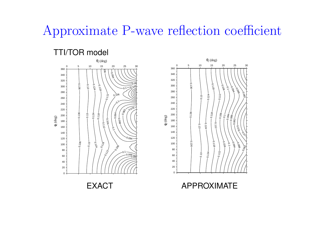#### TTI/TOR model



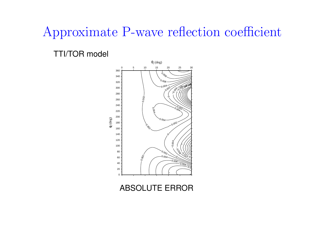TTI/TOR model



#### ABSOLUTE ERROR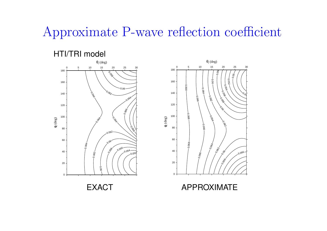#### HTI/TRI model



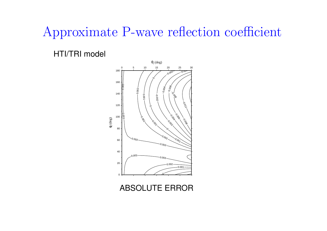HTI/TRI model



#### ABSOLUTE ERROR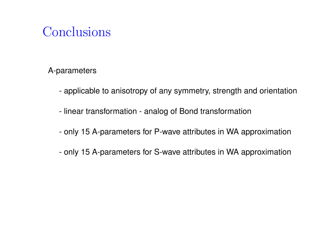A-parameters

- applicable to anisotropy of any symmetry, strength and orientation
- linear transformation analog of Bond transformation
- only 15 A-parameters for P-wave attributes in WA approximation
- only 15 A-parameters for S-wave attributes in WA approximation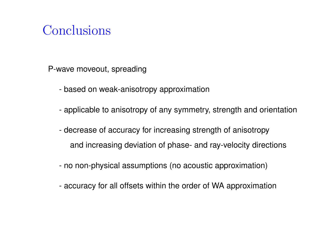P-wave moveout, spreading

- based on weak-anisotropy approximation
- applicable to anisotropy of any symmetry, strength and orientation
- decrease of accuracy for increasing strength of anisotropy and increasing deviation of phase- and ray-velocity directions
- no non-physical assumptions (no acoustic approximation)
- accuracy for all offsets within the order of WA approximation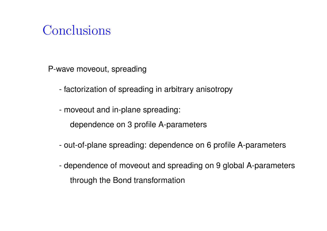P-wave moveout, spreading

- factorization of spreading in arbitrary anisotropy
- moveout and in-plane spreading:
	- dependence on 3 profile A-parameters
- out-of-plane spreading: dependence on 6 profile A-parameters
- dependence of moveout and spreading on 9 global A-parameters through the Bond transformation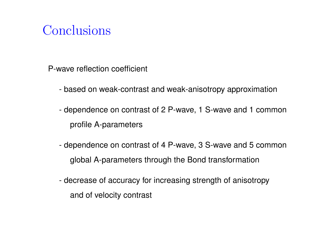P-wave reflection coefficient

- based on weak-contrast and weak-anisotropy approximation
- dependence on contrast of 2 P-wave, 1 S-wave and 1 common profile A-parameters
- dependence on contrast of 4 P-wave, 3 S-wave and 5 common global A-parameters through the Bond transformation
- decrease of accuracy for increasing strength of anisotropy and of velocity contrast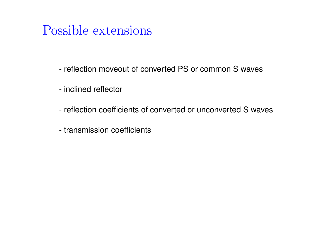## Possible extensions

- reflection moveout of converted PS or common S waves
- inclined reflector
- reflection coefficients of converted or unconverted S waves
- transmission coefficients